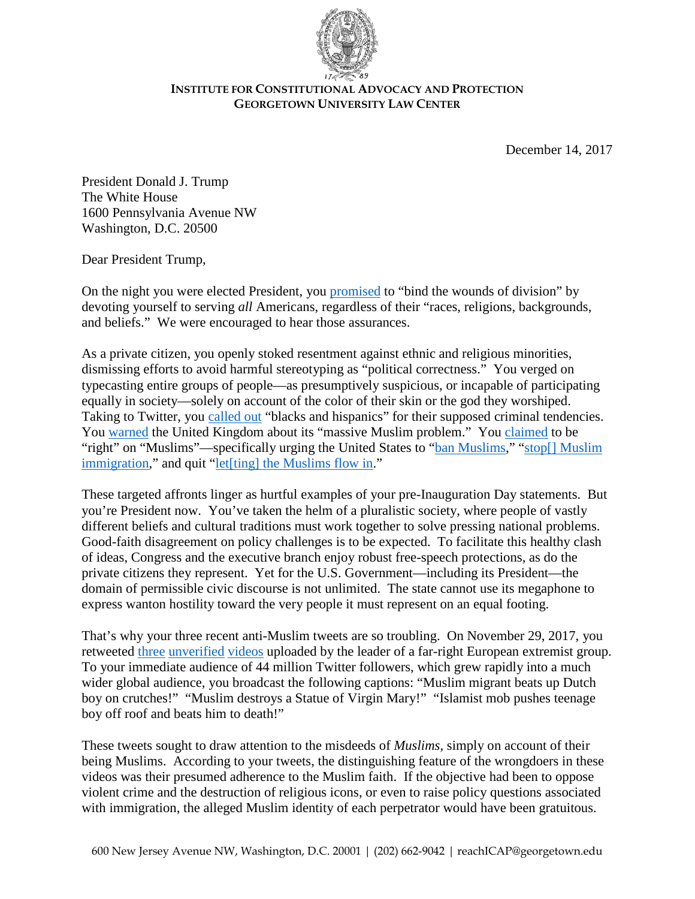

## **INSTITUTE FOR CONSTITUTIONAL ADVOCACY AND PROTECTION GEORGETOWN UNIVERSITY LAW CENTER**

December 14, 2017

President Donald J. Trump The White House 1600 Pennsylvania Avenue NW Washington, D.C. 20500

Dear President Trump,

On the night you were elected President, you [promised](http://www.latimes.com/politics/la-na-pol-trump-election-night-speech-20161108-story.html) to "bind the wounds of division" by devoting yourself to serving *all* Americans, regardless of their "races, religions, backgrounds, and beliefs." We were encouraged to hear those assurances.

As a private citizen, you openly stoked resentment against ethnic and religious minorities, dismissing efforts to avoid harmful stereotyping as "political correctness." You verged on typecasting entire groups of people—as presumptively suspicious, or incapable of participating equally in society—solely on account of the color of their skin or the god they worshiped. Taking to Twitter, you [called out](https://twitter.com/realdonaldtrump/status/342190428675796992) "blacks and hispanics" for their supposed criminal tendencies. You [warned](https://twitter.com/realdonaldtrump/status/674934005725331456) the United Kingdom about its "massive Muslim problem." You [claimed](https://twitter.com/realdonaldtrump/status/713012045214531584) to be "right" on "Muslims"—specifically urging the United States to ["ban Muslims,](https://twitter.com/realdonaldtrump/status/683277309969694720)" ["stop\[\] Muslim](https://twitter.com/realdonaldtrump/status/675034063447662592)  [immigration,](https://twitter.com/realdonaldtrump/status/675034063447662592)" and quit "let<sup>[ting]</sup> the Muslims flow in."

These targeted affronts linger as hurtful examples of your pre-Inauguration Day statements. But you're President now. You've taken the helm of a pluralistic society, where people of vastly different beliefs and cultural traditions must work together to solve pressing national problems. Good-faith disagreement on policy challenges is to be expected. To facilitate this healthy clash of ideas, Congress and the executive branch enjoy robust free-speech protections, as do the private citizens they represent. Yet for the U.S. Government—including its President—the domain of permissible civic discourse is not unlimited. The state cannot use its megaphone to express wanton hostility toward the very people it must represent on an equal footing.

That's why your three recent anti-Muslim tweets are so troubling. On November 29, 2017, you retweeted [three](https://twitter.com/JaydaBF/status/935609305574903812) [unverified](https://twitter.com/JaydaBF/status/935805606447013888) [videos](https://twitter.com/JaydaBF/status/935775552102981633) uploaded by the leader of a far-right European extremist group. To your immediate audience of 44 million Twitter followers, which grew rapidly into a much wider global audience, you broadcast the following captions: "Muslim migrant beats up Dutch boy on crutches!" "Muslim destroys a Statue of Virgin Mary!" "Islamist mob pushes teenage boy off roof and beats him to death!"

These tweets sought to draw attention to the misdeeds of *Muslims*, simply on account of their being Muslims. According to your tweets, the distinguishing feature of the wrongdoers in these videos was their presumed adherence to the Muslim faith. If the objective had been to oppose violent crime and the destruction of religious icons, or even to raise policy questions associated with immigration, the alleged Muslim identity of each perpetrator would have been gratuitous.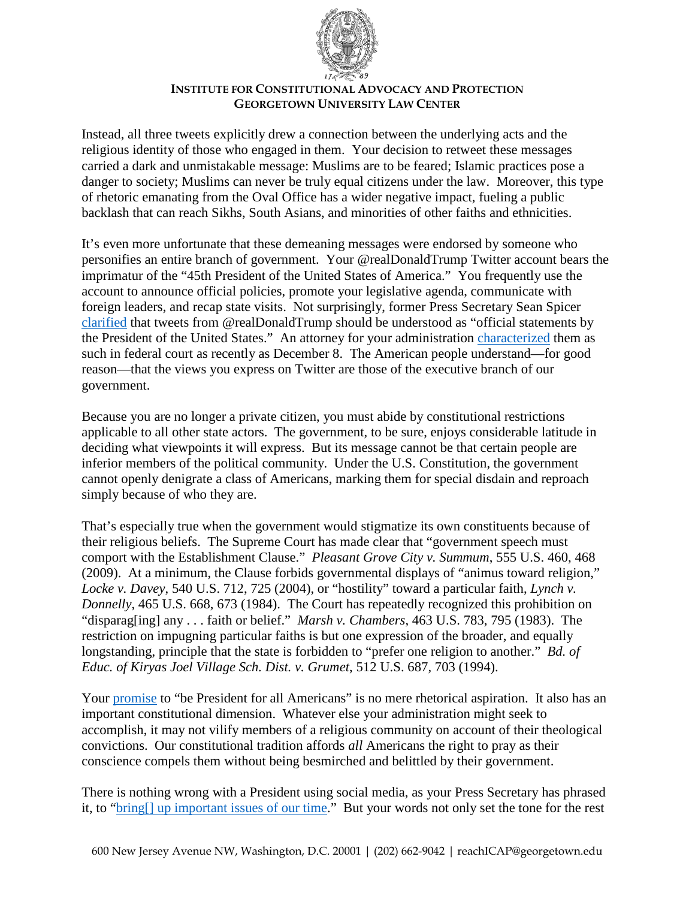

## **INSTITUTE FOR CONSTITUTIONAL ADVOCACY AND PROTECTION GEORGETOWN UNIVERSITY LAW CENTER**

Instead, all three tweets explicitly drew a connection between the underlying acts and the religious identity of those who engaged in them. Your decision to retweet these messages carried a dark and unmistakable message: Muslims are to be feared; Islamic practices pose a danger to society; Muslims can never be truly equal citizens under the law. Moreover, this type of rhetoric emanating from the Oval Office has a wider negative impact, fueling a public backlash that can reach Sikhs, South Asians, and minorities of other faiths and ethnicities.

It's even more unfortunate that these demeaning messages were endorsed by someone who personifies an entire branch of government. Your @realDonaldTrump Twitter account bears the imprimatur of the "45th President of the United States of America." You frequently use the account to announce official policies, promote your legislative agenda, communicate with foreign leaders, and recap state visits. Not surprisingly, former Press Secretary Sean Spicer [clarified](http://www.cnn.com/2017/06/06/politics/trump-tweets-official-statements/index.html) that tweets from @realDonaldTrump should be understood as "official statements by the President of the United States." An attorney for your administration [characterized](https://www.politico.com/story/2017/12/08/trump-travel-ban-4th-circuit-hearing-287242) them as such in federal court as recently as December 8. The American people understand—for good reason—that the views you express on Twitter are those of the executive branch of our government.

Because you are no longer a private citizen, you must abide by constitutional restrictions applicable to all other state actors. The government, to be sure, enjoys considerable latitude in deciding what viewpoints it will express. But its message cannot be that certain people are inferior members of the political community. Under the U.S. Constitution, the government cannot openly denigrate a class of Americans, marking them for special disdain and reproach simply because of who they are.

That's especially true when the government would stigmatize its own constituents because of their religious beliefs. The Supreme Court has made clear that "government speech must comport with the Establishment Clause." *Pleasant Grove City v. Summum*, 555 U.S. 460, 468 (2009). At a minimum, the Clause forbids governmental displays of "animus toward religion," *Locke v. Davey*, 540 U.S. 712, 725 (2004), or "hostility" toward a particular faith, *Lynch v. Donnelly*, 465 U.S. 668, 673 (1984). The Court has repeatedly recognized this prohibition on "disparag[ing] any . . . faith or belief." *Marsh v. Chambers*, 463 U.S. 783, 795 (1983). The restriction on impugning particular faiths is but one expression of the broader, and equally longstanding, principle that the state is forbidden to "prefer one religion to another." *Bd. of Educ. of Kiryas Joel Village Sch. Dist. v. Grumet*, 512 U.S. 687, 703 (1994).

Your [promise](http://www.latimes.com/politics/la-na-pol-trump-election-night-speech-20161108-story.html) to "be President for all Americans" is no mere rhetorical aspiration. It also has an important constitutional dimension. Whatever else your administration might seek to accomplish, it may not vilify members of a religious community on account of their theological convictions. Our constitutional tradition affords *all* Americans the right to pray as their conscience compels them without being besmirched and belittled by their government.

There is nothing wrong with a President using social media, as your Press Secretary has phrased it, to ["bring\[\] up important issues of our time.](https://www.washingtonpost.com/news/post-politics/wp/2017/11/30/trump-was-seeking-to-elevate-the-conversation-with-retweets-of-anti-muslim-videos-spokeswoman-says/)" But your words not only set the tone for the rest